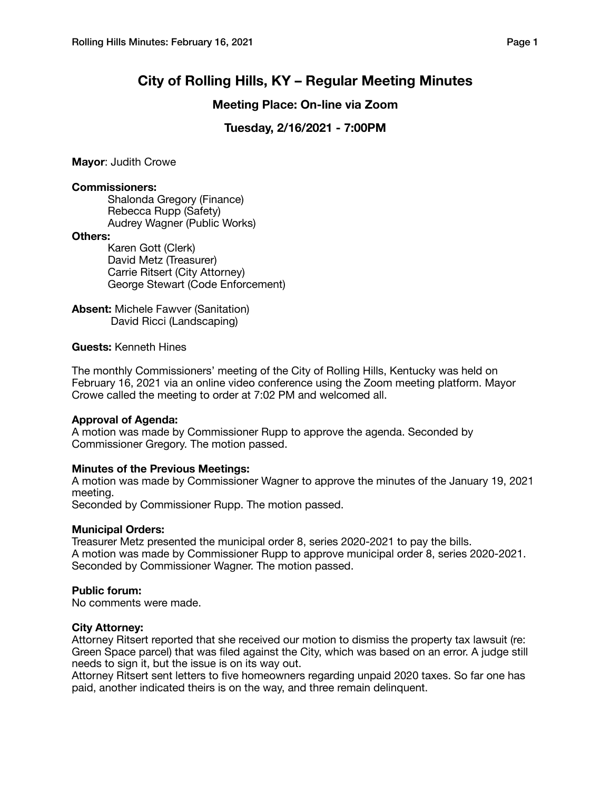# **City of Rolling Hills, KY – Regular Meeting Minutes**

# **Meeting Place: On-line via Zoom**

# **Tuesday, 2/16/2021 - 7:00PM**

**Mayor**: Judith Crowe

#### **Commissioners:**

Shalonda Gregory (Finance) Rebecca Rupp (Safety) Audrey Wagner (Public Works)

#### **Others:**

Karen Gott (Clerk) David Metz (Treasurer) Carrie Ritsert (City Attorney) George Stewart (Code Enforcement)

**Absent:** Michele Fawver (Sanitation) David Ricci (Landscaping)

## **Guests:** Kenneth Hines

The monthly Commissioners' meeting of the City of Rolling Hills, Kentucky was held on February 16, 2021 via an online video conference using the Zoom meeting platform. Mayor Crowe called the meeting to order at 7:02 PM and welcomed all.

## **Approval of Agenda:**

A motion was made by Commissioner Rupp to approve the agenda. Seconded by Commissioner Gregory. The motion passed.

## **Minutes of the Previous Meetings:**

A motion was made by Commissioner Wagner to approve the minutes of the January 19, 2021 meeting.

Seconded by Commissioner Rupp. The motion passed.

## **Municipal Orders:**

Treasurer Metz presented the municipal order 8, series 2020-2021 to pay the bills. A motion was made by Commissioner Rupp to approve municipal order 8, series 2020-2021. Seconded by Commissioner Wagner. The motion passed.

## **Public forum:**

No comments were made.

#### **City Attorney:**

Attorney Ritsert reported that she received our motion to dismiss the property tax lawsuit (re: Green Space parcel) that was filed against the City, which was based on an error. A judge still needs to sign it, but the issue is on its way out.

Attorney Ritsert sent letters to five homeowners regarding unpaid 2020 taxes. So far one has paid, another indicated theirs is on the way, and three remain delinquent.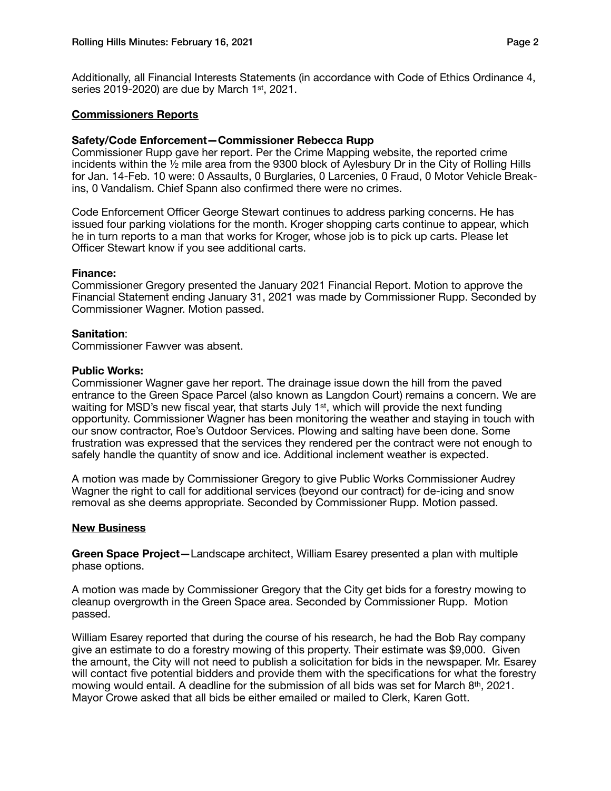Additionally, all Financial Interests Statements (in accordance with Code of Ethics Ordinance 4, series 2019-2020) are due by March 1st, 2021.

## **Commissioners Reports**

## **Safety/Code Enforcement—Commissioner Rebecca Rupp**

Commissioner Rupp gave her report. Per the Crime Mapping website, the reported crime incidents within the ½ mile area from the 9300 block of Aylesbury Dr in the City of Rolling Hills for Jan. 14-Feb. 10 were: 0 Assaults, 0 Burglaries, 0 Larcenies, 0 Fraud, 0 Motor Vehicle Breakins, 0 Vandalism. Chief Spann also confirmed there were no crimes.

Code Enforcement Officer George Stewart continues to address parking concerns. He has issued four parking violations for the month. Kroger shopping carts continue to appear, which he in turn reports to a man that works for Kroger, whose job is to pick up carts. Please let Officer Stewart know if you see additional carts.

#### **Finance:**

Commissioner Gregory presented the January 2021 Financial Report. Motion to approve the Financial Statement ending January 31, 2021 was made by Commissioner Rupp. Seconded by Commissioner Wagner. Motion passed.

## **Sanitation**:

Commissioner Fawver was absent.

#### **Public Works:**

Commissioner Wagner gave her report. The drainage issue down the hill from the paved entrance to the Green Space Parcel (also known as Langdon Court) remains a concern. We are waiting for MSD's new fiscal year, that starts July 1<sup>st</sup>, which will provide the next funding opportunity. Commissioner Wagner has been monitoring the weather and staying in touch with our snow contractor, Roe's Outdoor Services. Plowing and salting have been done. Some frustration was expressed that the services they rendered per the contract were not enough to safely handle the quantity of snow and ice. Additional inclement weather is expected.

A motion was made by Commissioner Gregory to give Public Works Commissioner Audrey Wagner the right to call for additional services (beyond our contract) for de-icing and snow removal as she deems appropriate. Seconded by Commissioner Rupp. Motion passed.

## **New Business**

**Green Space Project—**Landscape architect, William Esarey presented a plan with multiple phase options.

A motion was made by Commissioner Gregory that the City get bids for a forestry mowing to cleanup overgrowth in the Green Space area. Seconded by Commissioner Rupp. Motion passed.

William Esarey reported that during the course of his research, he had the Bob Ray company give an estimate to do a forestry mowing of this property. Their estimate was \$9,000. Given the amount, the City will not need to publish a solicitation for bids in the newspaper. Mr. Esarey will contact five potential bidders and provide them with the specifications for what the forestry mowing would entail. A deadline for the submission of all bids was set for March 8th, 2021. Mayor Crowe asked that all bids be either emailed or mailed to Clerk, Karen Gott.